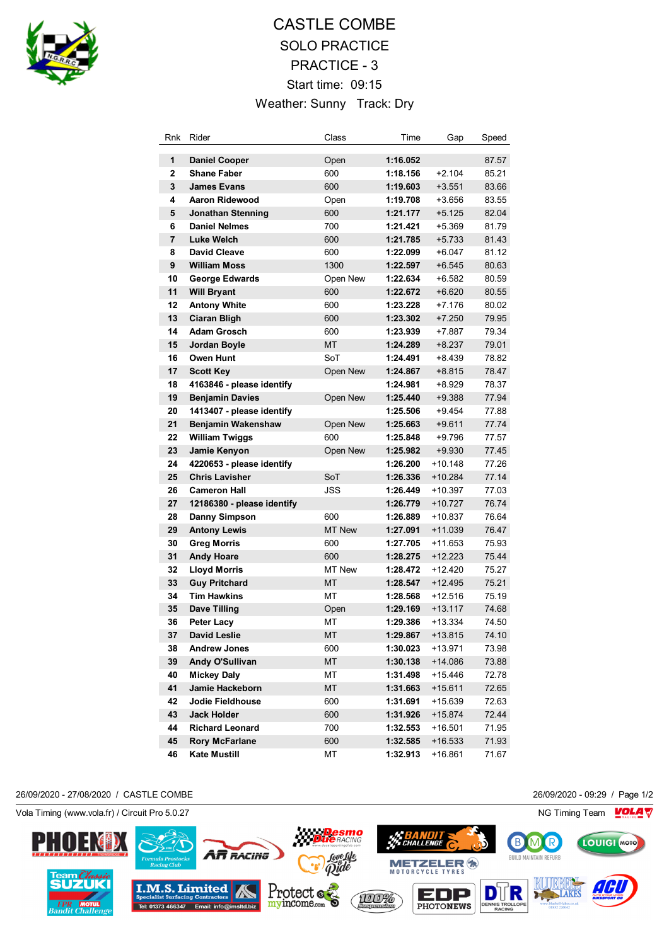

# CASTLE COMBE SOLO PRACTICE PRACTICE - 3 Start time: 09:15 Weather: Sunny Track: Dry

| Rnk            | Rider                      | Class         | Time     | Gap       | Speed |
|----------------|----------------------------|---------------|----------|-----------|-------|
| 1              | <b>Daniel Cooper</b>       | Open          | 1:16.052 |           | 87.57 |
| $\overline{2}$ | <b>Shane Faber</b>         | 600           | 1:18.156 | $+2.104$  | 85.21 |
| 3              | <b>James Evans</b>         | 600           | 1:19.603 | $+3.551$  | 83.66 |
| 4              | Aaron Ridewood             | Open          | 1:19.708 | $+3.656$  | 83.55 |
| 5              | <b>Jonathan Stenning</b>   | 600           | 1:21.177 | $+5.125$  | 82.04 |
| 6              | <b>Daniel Nelmes</b>       | 700           | 1:21.421 | $+5.369$  | 81.79 |
| 7              | <b>Luke Welch</b>          | 600           | 1:21.785 | $+5.733$  | 81.43 |
| 8              | <b>David Cleave</b>        | 600           | 1:22.099 | $+6.047$  | 81.12 |
| 9              | <b>William Moss</b>        | 1300          | 1:22.597 | $+6.545$  | 80.63 |
| 10             | George Edwards             | Open New      | 1:22.634 | $+6.582$  | 80.59 |
| 11             | <b>Will Bryant</b>         | 600           | 1:22.672 | $+6.620$  | 80.55 |
| 12             | <b>Antony White</b>        | 600           | 1:23.228 | +7.176    | 80.02 |
| 13             | <b>Ciaran Bligh</b>        | 600           | 1:23.302 | $+7.250$  | 79.95 |
| 14             | <b>Adam Grosch</b>         | 600           | 1:23.939 | +7.887    | 79.34 |
| 15             | Jordan Boyle               | МT            | 1:24.289 | $+8.237$  | 79.01 |
| 16             | Owen Hunt                  | SoT           | 1:24.491 | $+8.439$  | 78.82 |
| 17             | <b>Scott Key</b>           | Open New      | 1:24.867 | $+8.815$  | 78.47 |
| 18             | 4163846 - please identify  |               | 1:24.981 | $+8.929$  | 78.37 |
| 19             | <b>Benjamin Davies</b>     | Open New      | 1:25.440 | $+9.388$  | 77.94 |
| 20             | 1413407 - please identify  |               | 1:25.506 | $+9.454$  | 77.88 |
| 21             | Benjamin Wakenshaw         | Open New      | 1:25.663 | $+9.611$  | 77.74 |
| 22             | <b>William Twiggs</b>      | 600           | 1:25.848 | +9.796    | 77.57 |
| 23             | Jamie Kenyon               | Open New      | 1:25.982 | $+9.930$  | 77.45 |
| 24             | 4220653 - please identify  |               | 1:26.200 | $+10.148$ | 77.26 |
| 25             | <b>Chris Lavisher</b>      | SoT           | 1:26.336 | $+10.284$ | 77.14 |
| 26             | <b>Cameron Hall</b>        | JSS           | 1:26.449 | +10.397   | 77.03 |
| 27             | 12186380 - please identify |               | 1:26.779 | +10.727   | 76.74 |
| 28             | <b>Danny Simpson</b>       | 600           | 1:26.889 | +10.837   | 76.64 |
| 29             | <b>Antony Lewis</b>        | <b>MT New</b> | 1:27.091 | +11.039   | 76.47 |
| 30             | <b>Greg Morris</b>         | 600           | 1:27.705 | +11.653   | 75.93 |
| 31             | <b>Andy Hoare</b>          | 600           | 1:28.275 | $+12.223$ | 75.44 |
| 32             | <b>Lloyd Morris</b>        | <b>MT New</b> | 1:28.472 | $+12.420$ | 75.27 |
| 33             | <b>Guy Pritchard</b>       | <b>MT</b>     | 1:28.547 | $+12.495$ | 75.21 |
| 34             | <b>Tim Hawkins</b>         | МT            | 1:28.568 | +12.516   | 75.19 |
| 35             | <b>Dave Tilling</b>        | Open          | 1:29.169 | +13.117   | 74.68 |
| 36             | <b>Peter Lacy</b>          | МT            | 1:29.386 | +13.334   | 74.50 |
| 37             | David Leslie               | <b>MT</b>     | 1:29.867 | $+13.815$ | 74.10 |
| 38             | <b>Andrew Jones</b>        | 600           | 1:30.023 | $+13.971$ | 73.98 |
| 39             | Andy O'Sullivan            | MT            | 1:30.138 | $+14.086$ | 73.88 |
| 40             | <b>Mickey Daly</b>         | МT            | 1:31.498 | +15.446   | 72.78 |
| 41             | Jamie Hackeborn            | MT            | 1:31.663 | $+15.611$ | 72.65 |
| 42             | Jodie Fieldhouse           | 600           | 1:31.691 | +15.639   | 72.63 |
| 43             | <b>Jack Holder</b>         | 600           | 1:31.926 | $+15.874$ | 72.44 |
| 44             | <b>Richard Leonard</b>     | 700           | 1:32.553 | $+16.501$ | 71.95 |
| 45             | <b>Rory McFarlane</b>      | 600           | 1:32.585 | $+16.533$ | 71.93 |
| 46             | <b>Kate Mustill</b>        | МT            | 1:32.913 | +16.861   | 71.67 |

26/09/2020 - 27/08/2020 / CASTLE COMBE 26/09/2020 - 09:29 / Page 1/2

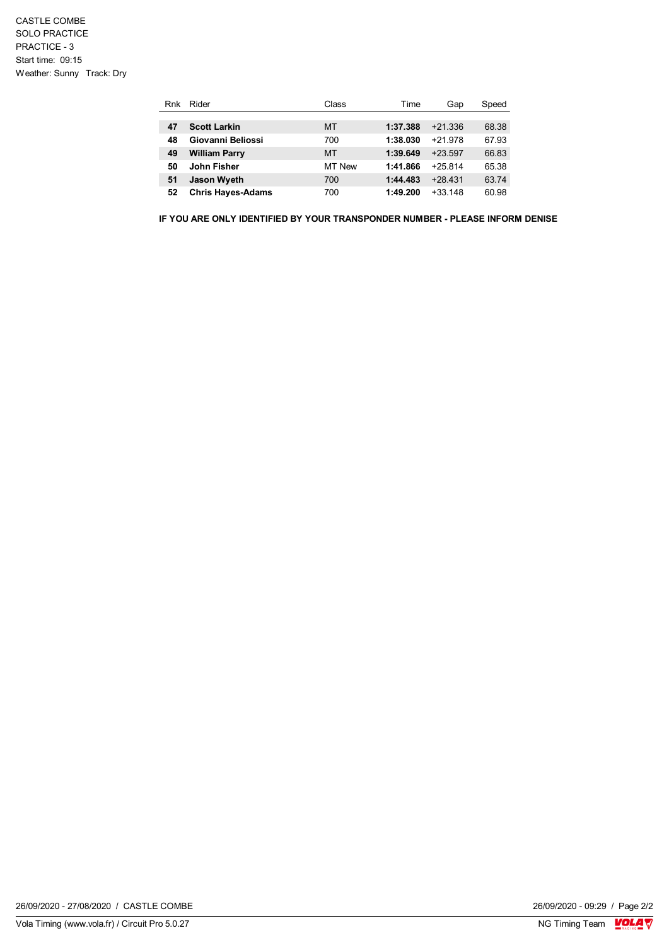| Rnk | Rider                    | Class     | Time     | Gap       | Speed |
|-----|--------------------------|-----------|----------|-----------|-------|
|     |                          |           |          |           |       |
| 47  | <b>Scott Larkin</b>      | MT        | 1:37.388 | $+21.336$ | 68.38 |
| 48  | Giovanni Beliossi        | 700       | 1:38.030 | $+21.978$ | 67.93 |
| 49  | <b>William Parry</b>     | <b>MT</b> | 1:39.649 | $+23.597$ | 66.83 |
| 50  | John Fisher              | MT New    | 1:41.866 | $+25814$  | 65.38 |
| 51  | <b>Jason Wyeth</b>       | 700       | 1:44.483 | $+28431$  | 63.74 |
| 52  | <b>Chris Hayes-Adams</b> | 700       | 1:49.200 | $+33.148$ | 60.98 |

**IF YOU ARE ONLY IDENTIFIED BY YOUR TRANSPONDER NUMBER - PLEASE INFORM DENISE** 

 $\frac{26}{09}{2020 - 09:29}$  / Page 2/2<br>NG Timing Team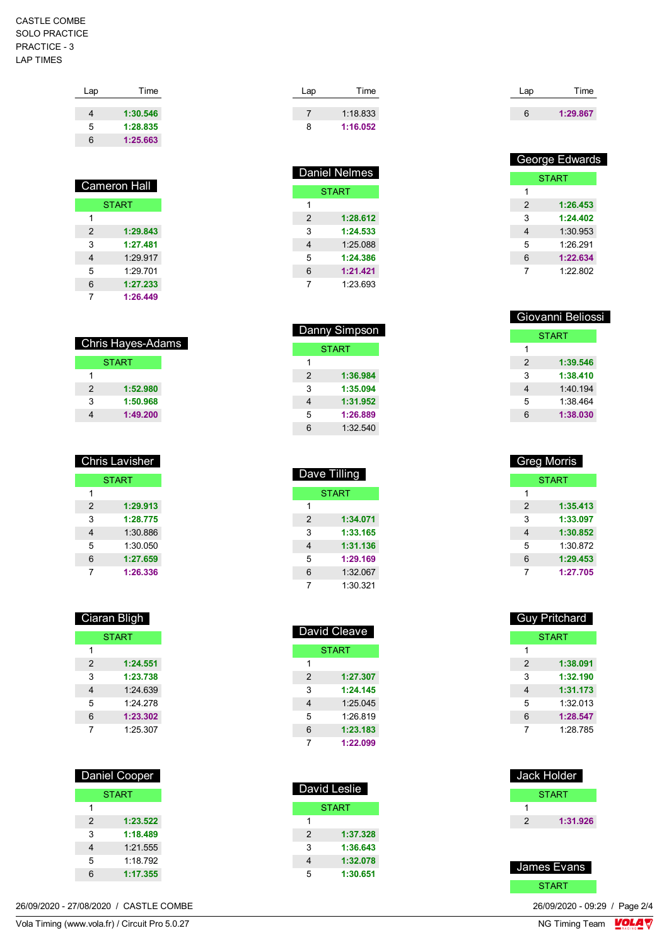## CASTLE COMBE SOLO PRACTICE PRACTICE - 3 LAP TIMES

| Lap | Time     |
|-----|----------|
|     |          |
| 4   | 1:30.546 |
| 5   | 1:28.835 |
| 6   | 1:25.663 |
|     |          |

| <b>Cameron Hall</b> |              |  |
|---------------------|--------------|--|
|                     | <b>START</b> |  |
| 1                   |              |  |
| $\mathcal{P}$       | 1:29.843     |  |
| 3                   | 1:27.481     |  |
| 4                   | 1:29.917     |  |
| 5                   | 1.29701      |  |
| 6                   | 1:27.233     |  |
| 7                   | 1:26.449     |  |

| Chris Hayes-Adams |              |  |
|-------------------|--------------|--|
|                   | <b>START</b> |  |
| 1                 |              |  |
| 2                 | 1:52.980     |  |
| 3                 | 1:50.968     |  |
|                   | 1:49.200     |  |

| <b>Chris Lavisher</b> |              |  |
|-----------------------|--------------|--|
|                       | <b>START</b> |  |
| 1                     |              |  |
| $\mathfrak{p}$        | 1:29.913     |  |
| 3                     | 1:28.775     |  |
| 4                     | 1:30.886     |  |
| 5                     | 1:30.050     |  |
| 6                     | 1:27.659     |  |
|                       | 1:26.336     |  |

| Ciaran Bligh |              |  |
|--------------|--------------|--|
|              | <b>START</b> |  |
| 1            |              |  |
| 2            | 1:24.551     |  |
| 3            | 1:23.738     |  |
| 4            | 1:24.639     |  |
| 5            | 1:24.278     |  |
| 6            | 1:23.302     |  |
|              | 1:25.307     |  |

| Daniel Cooper |              |  |
|---------------|--------------|--|
|               | <b>START</b> |  |
| 1             |              |  |
| 2             | 1:23.522     |  |
| 3             | 1:18.489     |  |
| 4             | $1.21$ 555   |  |
| 5             | 1:18.792     |  |
| 6             | 1:17.355     |  |

26/09/2020 - 27/08/2020 / CASTLE COMBE

| Lap | Time     |
|-----|----------|
|     |          |
|     | 1.18833  |
| 8   | 1:16.052 |

| <b>Daniel Nelmes</b> |              |  |
|----------------------|--------------|--|
|                      | <b>START</b> |  |
| 1                    |              |  |
| 2                    | 1:28.612     |  |
| 3                    | 1:24.533     |  |
| 4                    | 1:25.088     |  |
| 5                    | 1:24.386     |  |
| 6                    | 1:21.421     |  |
|                      | 1.23 693     |  |

| Danny Simpson |          |  |
|---------------|----------|--|
|               | START    |  |
| 1             |          |  |
| $\mathcal{P}$ | 1:36.984 |  |
| 3             | 1:35.094 |  |
| 4             | 1:31.952 |  |
| 5             | 1:26.889 |  |
| հ             | 1:32.540 |  |

| Dave Tilling |              |  |
|--------------|--------------|--|
|              | <b>START</b> |  |
| 1            |              |  |
| 2            | 1:34.071     |  |
| 3            | 1:33.165     |  |
| 4            | 1:31.136     |  |
| 5            | 1:29.169     |  |
| 6            | 1:32.067     |  |
|              | 1:30.321     |  |

| David Cleave |              |
|--------------|--------------|
|              | <b>START</b> |
| 1            |              |
| 2            | 1:27.307     |
| 3            | 1:24.145     |
| 4            | 1:25.045     |
| 5            | 1:26.819     |
| 6            | 1:23.183     |
| 7            | 1:22.099     |

| David Leslie |          |
|--------------|----------|
| <b>START</b> |          |
|              |          |
| 2            | 1:37.328 |
| 3            | 1:36.643 |
| 4            | 1:32.078 |
| 5            | 1:30.651 |

| Lap | Time     |
|-----|----------|
| 6   |          |
|     | 1:29.867 |

| George Edwards |              |  |
|----------------|--------------|--|
|                | <b>START</b> |  |
| 1              |              |  |
| 2              | 1:26.453     |  |
| 3              | 1:24.402     |  |
| 4              | 1:30.953     |  |
| 5              | 1.26.291     |  |
| 6              | 1:22.634     |  |
| 7              | 1.22802      |  |

|   | Giovanni Beliossi |  |
|---|-------------------|--|
|   | <b>START</b>      |  |
| 1 |                   |  |
| 2 | 1:39.546          |  |
| 3 | 1:38.410          |  |
| 4 | 1.40194           |  |
| 5 | 1:38.464          |  |
| 6 | 1:38.030          |  |
|   |                   |  |

| <b>Greg Morris</b> |              |
|--------------------|--------------|
|                    | <b>START</b> |
| 1                  |              |
| 2                  | 1:35.413     |
| 3                  | 1:33.097     |
| 4                  | 1:30.852     |
| 5                  | 1:30.872     |
| 6                  | 1:29.453     |
| 7                  | 1:27.705     |

| <b>Guy Pritchard</b> |              |
|----------------------|--------------|
|                      | <b>START</b> |
| 1                    |              |
| $\mathfrak{p}$       | 1:38.091     |
| 3                    | 1:32.190     |
| 4                    | 1:31.173     |
| 5                    | 1:32 013     |
| 6                    | 1:28.547     |
| 7                    | 1.28785      |

| Jack Holder |              |
|-------------|--------------|
|             | <b>START</b> |
|             |              |
| 2           | 1:31.926     |



 $\frac{26}{09}{2020 - 09:29}$  / Page 2/4<br>NG Timing Team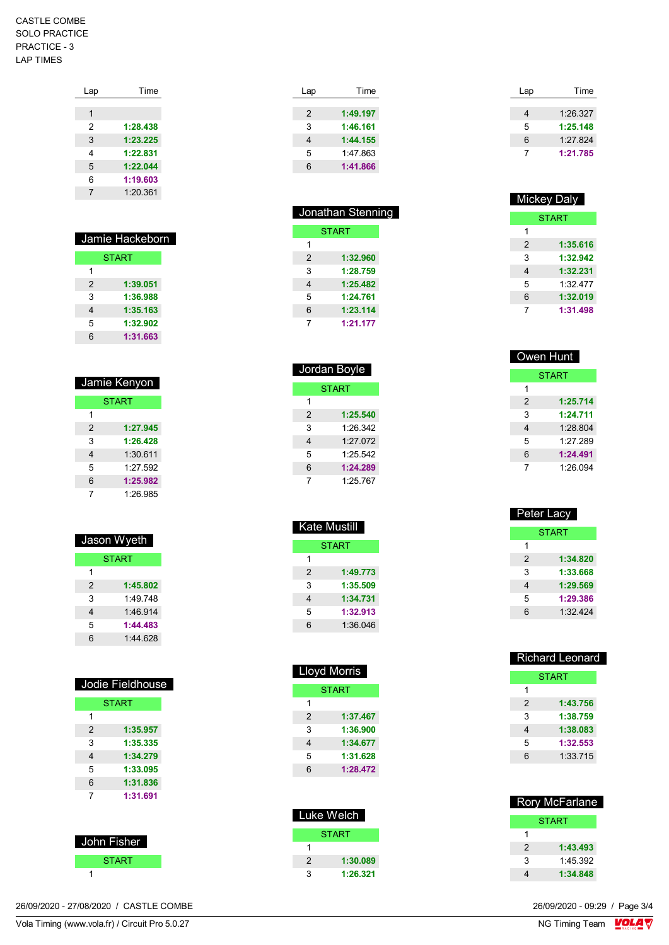## CASTLE COMBE SOLO PRACTICE PRACTICE - 3 LAP TIMES

| Lap | Time     |
|-----|----------|
|     |          |
| 1   |          |
| 2   | 1:28.438 |
| 3   | 1:23.225 |
| 4   | 1:22.831 |
| 5   | 1:22.044 |
| 6   | 1:19.603 |
| 7   | 1:20.361 |
|     |          |

| Jamie Hackeborn |              |
|-----------------|--------------|
|                 | <b>START</b> |
| 1               |              |
| $\mathcal{P}$   | 1:39.051     |
| 3               | 1:36.988     |
| 4               | 1:35.163     |
| 5               | 1:32.902     |
| ิค              | 1:31.663     |

| Jamie Kenyon |              |
|--------------|--------------|
|              | <b>START</b> |
| 1            |              |
| 2            | 1:27.945     |
| 3            | 1:26.428     |
| 4            | 1:30.611     |
| 5            | 1.27 592     |
| 6            | 1:25.982     |
| 7            | 1:26.985     |

| Jason Wyeth   |              |
|---------------|--------------|
|               | <b>START</b> |
| 1             |              |
| $\mathcal{P}$ | 1:45.802     |
| 3             | 1.49748      |
| 4             | 1.46.914     |
| 5             | 1:44.483     |
| հ             | 1:44 628     |

|   | Jodie Fieldhouse |  |
|---|------------------|--|
|   | <b>START</b>     |  |
| 1 |                  |  |
| 2 | 1:35.957         |  |
| 3 | 1:35.335         |  |
| 4 | 1:34.279         |  |
| 5 | 1:33.095         |  |
| 6 | 1:31.836         |  |
| 7 | 1:31.691         |  |
|   |                  |  |

| John Fisher  |  |
|--------------|--|
| <b>START</b> |  |
|              |  |

26/09/2020 - 27/08/2020 / CASTLE COMBE 26/09/2020 - 09:29 / Page 3/4

| Vola Timing (www.vola.fr) / Circuit Pro 5.0.27 | VG.<br>NG Timina Tr<br>Team<br>$ -$ |
|------------------------------------------------|-------------------------------------|
|------------------------------------------------|-------------------------------------|

| Time     |
|----------|
|          |
| 1:49.197 |
| 1:46.161 |
| 1:44.155 |
| 1:47 863 |
| 1:41.866 |
|          |

| Jonathan Stenning |              |
|-------------------|--------------|
|                   | <b>START</b> |
| 1                 |              |
| 2                 | 1:32.960     |
| 3                 | 1:28.759     |
| 4                 | 1:25.482     |
| 5                 | 1:24.761     |
| 6                 | 1:23,114     |
| 7                 | 1:21.177     |

| Jordan Boyle |          |
|--------------|----------|
| <b>START</b> |          |
| 1            |          |
| 2            | 1:25.540 |
| 3            | 1:26.342 |
| 4            | 1:27.072 |
| 5            | 1.25.542 |
| 6            | 1:24.289 |
| 7            | 1.25 767 |

| Kate Mustill  |              |
|---------------|--------------|
|               | <b>START</b> |
| 1             |              |
| $\mathcal{P}$ | 1:49.773     |
| 3             | 1:35.509     |
| 4             | 1:34.731     |
| 5             | 1:32.913     |
| 6             | 1:36.046     |
|               |              |

| <b>Lloyd Morris</b> |              |
|---------------------|--------------|
|                     | <b>START</b> |
| 1                   |              |
| 2                   | 1:37.467     |
| 3                   | 1:36.900     |
| 4                   | 1:34.677     |
| 5                   | 1:31.628     |
| 6                   | 1:28.472     |
|                     |              |

| Luke Welch    |          |
|---------------|----------|
|               | START    |
|               |          |
| $\mathcal{P}$ | 1:30.089 |
| 3             | 1:26.321 |

| Lap | Time     |
|-----|----------|
|     |          |
| 4   | 1:26.327 |
| 5   | 1:25.148 |
| 6   | 1:27.824 |
|     | 1:21.785 |

| Mickey Daly    |          |
|----------------|----------|
| <b>START</b>   |          |
| 1              |          |
| $\mathfrak{p}$ | 1:35.616 |
| 3              | 1:32.942 |
| 4              | 1:32.231 |
| 5              | 1:32 477 |
| 6              | 1:32.019 |
| 7              | 1:31.498 |

| Owen Hunt    |          |
|--------------|----------|
| <b>START</b> |          |
| 1            |          |
| 2            | 1:25.714 |
| 3            | 1:24.711 |
| 4            | 1:28.804 |
| 5            | 1.27 289 |
| 6            | 1:24.491 |
| 7            | 1.26 094 |

| Peter Lacy   |          |
|--------------|----------|
| <b>START</b> |          |
| 1            |          |
| 2            | 1:34.820 |
| 3            | 1:33.668 |
| 4            | 1:29.569 |
| 5            | 1:29.386 |
| 6            | 1:32424  |
|              |          |

| <b>Richard Leonard</b> |          |
|------------------------|----------|
| START                  |          |
| 1                      |          |
| 2                      | 1:43.756 |
| 3                      | 1:38.759 |
| 4                      | 1:38.083 |
| 5                      | 1:32.553 |
| 6                      | 1:33.715 |
|                        |          |

| <b>Rory McFarlane</b> |          |
|-----------------------|----------|
|                       | START    |
| 1                     |          |
| 2                     | 1:43.493 |
| 3                     | 1.45 392 |
|                       | 1:34.848 |

 $\frac{1}{\sqrt{2}}$